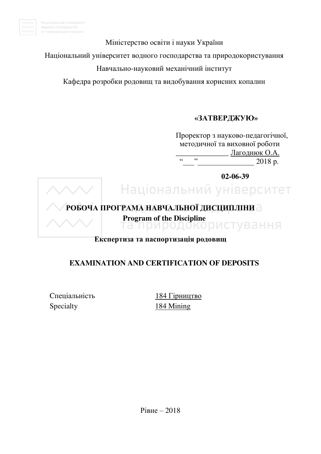

Міністерство освіти і науки України

Національний університет водного господарства та природокористування

### Навчально-науковий механічний інститут

Кафедра розробки родовищ та видобування корисних копалин

### **«ɁȺɌȼȿɊȾɀɍЮ»**

Проректор з науково-педагогічної, методичної та виховної роботи  $\frac{\frac{1}{2} \frac{1}{2} \frac{1}{2} \frac{1}{2} \frac{1}{2} \frac{1}{2} \frac{1}{2} \frac{1}{2} \frac{1}{2} \frac{1}{2} \frac{1}{2} \frac{1}{2} \frac{1}{2} \frac{1}{2} \frac{1}{2} \frac{1}{2} \frac{1}{2} \frac{1}{2} \frac{1}{2} \frac{1}{2} \frac{1}{2} \frac{1}{2} \frac{1}{2} \frac{1}{2} \frac{1}{2} \frac{1}{2} \frac{1}{2} \frac{1}{2} \frac{1}{2} \frac{1}{2} \frac{1}{2}$ 2018 p.

 **02-06-39** 

### Національний університет

### РОБОЧА ПРОГРАМА НАВЧАЛЬНОЇ ДИСЦИПЛІНИ -

**Program of the Discipline**<br> **ПА ПОИООДОКО** ДИСТУВАННЯ

### **Експертиза та паспортизація родовищ**

### **EXAMINATION AND CERTIFICATION OF DEPOSITS**

Спеціальність 184 Гірництво Specialty 184 Mining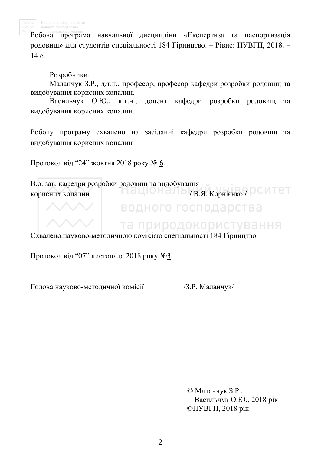

Робоча програма навчальної дисципліни «Експертиза та паспортизація родовищ» для студентів спеціальності 184 Гірництво. – Рівне: НУВГП, 2018. –  $14$  c.

### Розробники:

Маланчук З.Р., д.т.н., професор, професор кафедри розробки родовищ та вилобування корисних копалин.

Васильчук О.Ю., к.т.н., доцент кафедри розробки родовищ та видобування корисних копалин.

Робочу програму схвалено на засіданні кафедри розробки родовищ та видобування корисних копалин

Протокол від "24" жовтня 2018 року № 6.

В.о. зав. кафедри розробки родовищ та видобування истования копалин и советать и советательного ситет водного господарства та природокористування

Схвалено науково-методичною комісією спеціальності 184 Гірництво

Протокол від "07" листопада 2018 року №3.

Голова науково-методичної комісії /З.Р. Маланчук/

© Маланчук З.Р., Васильчук О.Ю., 2018 рік  $\mathbb{O}$ HYB $\Gamma$ II, 2018 pik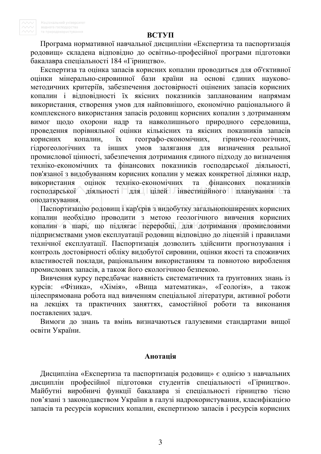#### ВСТУП

Програма нормативної навчальної дисципліни «Експертиза та паспортизація родовищ» складена відповідно до освітньо-професійної програми підготовки бакалавра спеціальності 184 «Гірництво».

Експертиза та оцінка запасів корисних копалин проводиться для об'єктивної оцінки мінерально-сировинної бази країни на основі єдиних науковометодичних критеріїв, забезпечення достовірності оцінених запасів корисних копалин і відповідності їх якісних показників запланованим напрямам використання, створення умов для найповнішого, економічно раціонального й комплексного використання запасів родовищ корисних копалин з дотриманням вимог щодо охорони надр та навколишнього природного середовища, проведення порівняльної оцінки кількісних та якісних показників запасів корисних копалин, їх географо-економічних, гірничо-геологічних, гідрогеологічних та інших умов залягання для визначення реальної промислової цінності, забезпечення дотримання єдиного підходу до визначення техніко-економічних та фінансових показників господарської діяльності, пов'язаної з видобуванням корисних копалин у межах конкретної ділянки надр, використання оцінок техніко-економічних та фінансових показників господарської діяльності для цілей інвестиційного планування та оподаткування.

Паспортизацію родовищ і кар'єрів з видобутку загальнопоширених корисних копалин необхідно проводити з метою геологічного вивчення корисних копалин в шарі, що підлягає переробці, для дотримання промисловими підприємствами умов експлуатації родовищ відповідно до ліцензій і правилами технічної експлуатації. Паспортизація дозволить здійснити прогнозування і контроль достовірності обліку видобутої сировини, оцінки якості та споживчих властивостей поклади, раціональним використанням та повнотою вироблення промислових запасів, а також його екологічною безпекою.

Вивчення курсу передбачає наявність систематичних та ґрунтовних знань із курсів: «Фізика», «Хімія», «Вища математика», «Геологія», а також цілеспрямована робота над вивченням спеціальної літератури, активної роботи на лекціях та практичних заняттях, самостійної роботи та виконання поставлених залач.

Вимоги до знань та вмінь визначаються галузевими стандартами вищої освіти України.

#### **Анотація**

Дисципліна «Експертиза та паспортизація родовищ» є однією з навчальних дисциплін професійної підготовки студентів спеціальності «Гірництво». Майбутні виробничі функції бакалавра зі спеціальності гірництво тісно пов'язані з законодавством України в галузі надрокористування, класифікацією запасів та ресурсів корисних копалин, експертизою запасів і ресурсів корисних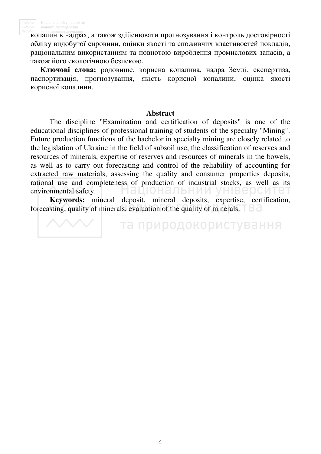копалин в надрах, а також здійснювати прогнозування і контроль достовірності обліку видобутої сировини, оцінки якості та споживчих властивостей покладів, раціональним використанням та повнотою вироблення промислових запасів, а також його екологічною безпекою.

**Ключові слова:** родовище, корисна копалина, надра Землі, експертиза, паспортизація, прогнозування, якість корисної копалини, оцінка якості корисної копалини.

### **Abstract**

The discipline "Examination and certification of deposits" is one of the educational disciplines of professional training of students of the specialty "Mining". Future production functions of the bachelor in specialty mining are closely related to the legislation of Ukraine in the field of subsoil use, the classification of reserves and resources of minerals, expertise of reserves and resources of minerals in the bowels, as well as to carry out forecasting and control of the reliability of accounting for extracted raw materials, assessing the quality and consumer properties deposits, rational use and completeness of production of industrial stocks, as well as its environmental safety. 11O F нальнии у 16 I

**Keywords:** mineral deposit, mineral deposits, expertise, certification, forecasting, quality of minerals, evaluation of the quality of minerals.

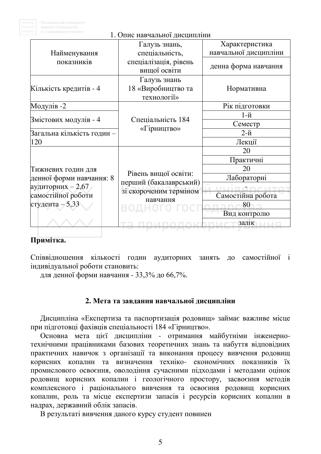

| водного господарства<br>та природокористування | 1. Опис навчальної дисципліни                                |                                         |  |
|------------------------------------------------|--------------------------------------------------------------|-----------------------------------------|--|
| Найменування                                   | Галузь знань,<br>спеціальність,                              | Характеристика<br>навчальної дисципліни |  |
| показників                                     | спеціалізація, рівень<br>вищої освіти                        | денна форма навчання                    |  |
| Кількість кредитів - 4                         | Галузь знань<br>18 «Виробництво та<br>технології»            | Нормативна                              |  |
| Модулів -2                                     |                                                              | Рік підготовки                          |  |
|                                                |                                                              | $1-$ й                                  |  |
| Змістових модулів - 4                          | Спеціальність 184                                            | Семестр                                 |  |
| Загальна кількість годин –                     | «Гірництво»                                                  | $2-$ й                                  |  |
| 120                                            |                                                              | Лекції                                  |  |
|                                                |                                                              | 20                                      |  |
|                                                |                                                              | Практичні                               |  |
| Тижневих годин для                             |                                                              | 20                                      |  |
| денної форми навчання: 8                       | Рівень вищої освіти:                                         | Лабораторні                             |  |
| аудиторних $-2,67$<br>самостійної роботи       | перший (бакалаврський)<br>зі скороченим терміном<br>навчання | Самостійна робота                       |  |
| студента $-5,33$                               |                                                              | 80<br>Вид контролю                      |  |
|                                                |                                                              | залік                                   |  |

### Примітка.

Співвідношення кількості годин аудиторних занять до самостійної і індивідуальної роботи становить:

для денної форми навчання - 33,3% до 66,7%.

### 2. Мета та завдання навчальної дисципліни

Дисципліна «Експертиза та паспортизація родовищ» займає важливе місце при підготовці фахівців спеціальності 184 «Гірництво».

Основна мета цієї дисципліни - отримання майбутніми інженернотехнічними працівниками базових теоретичних знань та набуття відповідних практичних навичок з організації та виконання процесу вивчення родовищ корисних копалин та визначення техніко- економічних показників їх промислового освоєння, оволодіння сучасними підходами і методами оцінок родовищ корисних копалин і геологічного простору, засвоєння методів комплексного і раціонального вивчення та освоєння родовищ корисних копалин, роль та місце експертизи запасів і ресурсів корисних копалин в надрах, державний облік запасів.

В результаті вивчення даного курсу студент повинен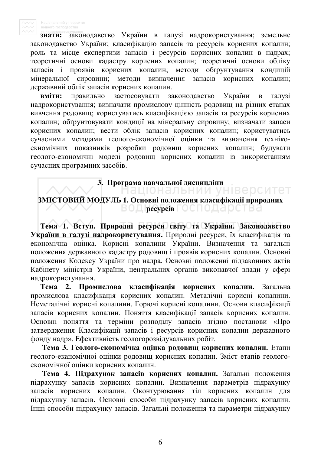знати: законодавство України в галузі надрокористування; земельне законодавство України; класифікацію запасів та ресурсів корисних копалин; роль та місце експертизи запасів і ресурсів корисних копалин в надрах; теоретичні основи кадастру корисних копалин; теоретичні основи обліку запасів і проявів корисних копалин; методи обґрунтування кондицій мінеральної сировини; методи визначення запасів корисних копалин; державний облік запасів корисних копалин.

**вміти:** правильно застосовувати законодавство України в галузі надрокористування; визначати промислову цінність родовищ на різних етапах вивчення родовищ; користуватись класифікацією запасів та ресурсів корисних копалин; обгрунтовувати кондиції на мінеральну сировину; визначати запаси корисних копалин; вести облік запасів корисних копалин; користуватись сучасними методами геолого-економічної оцінки та визначення технікоекномічних показників розробки родовищ корисних копалин; будувати геолого-економічні моделі родовищ корисних копалин із використанням сучасних програмних засобів.

### **3. ɉɪɨɝɪɚɦɚ ɧɚɜɱɚɥьɧɨʀ ɞɢɫɰɢɩɥɿɧɢ**

### ЗМІСТОВИЙ МОДУЛЬ 1. Основні положення класифікації природних ВОД **ресурсів** ГОСПОДА **DCTB**а

Тема 1. Вступ. Природні ресурси світу та України. Законодавство України в галузі надрокористування. Природні ресурси, їх класифікація та економічна оцінка. Корисні копалини України. Визначення та загальні положення державного кадастру родовищ і проявів корисних копалин. Основні положення Кодексу України про надра. Основні положенні підзаконних актів Кабінету міністрів України, центральних органів виконавчої влади у сфері надрокористування.

Тема 2. Промислова класифікація корисних копалин. Загальна промислова класифікація корисних копалин. Металічні корисні копалини. Неметалічні корисні копалини. Горючі корисні копалини. Основи класифікації запасів корисних копалин. Поняття класифікації запасів корисних копалин. Основні поняття та терміни розподілу запасів згідно постанови «Про затвердження Класифікації запасів і ресурсів корисних копалин державного фонду надр». Ефективність геологорозвідувальних робіт.

Тема 3. Геолого-економічка оцінка родовищ корисних копалин. Етапи геолого-еканомічноі оцінки родовищ корисних копалин. Зміст етапів геологоекономічної оцінки корисних копалин.

Тема 4. Підрахунок запасів корисних копалин. Загальні положення підрахунку запасів корисних копалин. Визначення параметрів підрахунку запасів корисних копалин. Оконтурювання тіл корисних копалин для підрахунку запасів. Основні способи підрахунку запасів корисних копалин. Інші способи підрахунку запасів. Загальні положення та параметри підрахунку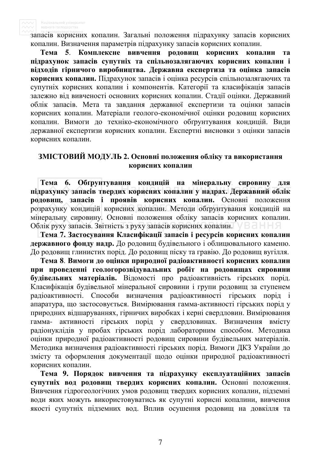запасів корисних копалин. Загальні положення підрахунку запасів корисних копалин. Визначення параметрів підрахунку запасів корисних копалин.

Тема 5. Комплексне вивчення родовищ корисних копалин та підрахунок запасів супутніх та спільнозалягаючих корисних копалин і відходів гірничого виробництва. Державна експертиза та оцінка запасів **корисних копалин.** Підрахунок запасів і оцінка ресурсів спільнозалягаючих та супутніх корисних копалин і компонентів. Категорії та класифікація запасів залежно від вивченості основних корисних копалин. Стадії оцінки. Державний облік запасів. Мета та завдання державної експертизи та оцінки запасів корисних копалин. Матеріали геолого-економічної оцінки родовищ корисних копалин. Вимоги до техніко-економічного обґрунтування кондицій. Види державної експертизи корисних копалин. Експертні висновки з оцінки запасів корисних копалин.

### ЗМІСТОВИЙ МОДУЛЬ 2. Основні положення обліку та використання корисних копалин

Тема 6. Обґрунтування кондицій на мінеральну сировину для підрахунку запасів твердих корисних копалин у надрах. Державний облік родовищ, запасів і проявів корисних копалин. Основні положення розрахунку кондицій корисних копалин. Методи обґрунтування кондицій на мінеральну сировину. Основні положення обліку запасів корисних копалин. Облік руху запасів. Звітність з руху запасів корисних копалин. Bання

**Тема 7. Застосування Класифікації запасів і ресурсів корисних копалин** державного фонду надр. До родовищ будівельного і облицювального каменю. До родовищ глинистих порід. До родовищ піску та гравію. До родовищ вугілля.

Тема 8. Вимоги до оцінки природної радіоактивності корисних копалин при проведенні геологорозвідувальних робіт на родовищах сировини будівельних матеріалів. Відомості про радіоактивність гірських порід. Класифікація будівельної мінеральної сировини і групи родовищ за ступенем радіоактивності. Способи визначення радіоактивності гірських порід і апаратура, що застосовується. Вимірювання гамма-активності гірських порід у природних відшаруваннях, гірничих виробках і керні свердловин. Вимірювання гамма- активності гірських поріл у свердловинах. Визначення вмісту радіонуклідів у пробах гірських порід лабораторним способом. Методика оцінки природної радіоактивності родовиш сировини будівельних матеріалів. Методика визначення радіоактивності гірських порід. Вимоги ДКЗ України до змісту та оформлення документації щодо оцінки природної радіоактивності корисних копалин.

Тема 9. Порядок вивчення та підрахунку експлуатаційних запасів супутніх вод родовищ твердих корисних копалин. Основні положення. Вивчення гідрогеологічних умов родовищ твердих корисних копалин, підземні води яких можуть використовуватись як супутні корисні копалини, вивчення якості супутніх підземних вод. Вплив осушення родовищ на довкілля та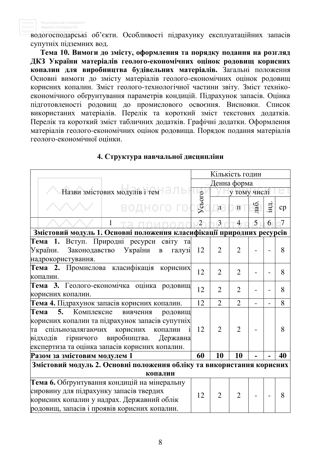водогосподарські об'єкти. Особливості підрахунку експлуатаційних запасів супутніх підземних вод.

Тема 10. Вимоги до змісту, оформлення та порядку подання на розгляд ДКЗ України матеріалів геолого-економічних оцінок родовищ корисних **копалин для виробництва будівельних матеріалів.** Загальні положення Основні вимоги до змісту матеріалів геолого-економічних оцінок родовищ корисних копалин. Зміст геолого-технологічної частини звіту. Зміст технікоекономічного обґрунтування параметрів кондицій. Підрахунок запасів. Оцінка підготовленості родовищ до промислового освоєння. Висновки. Список використаних матеріалів. Перелік та короткий зміст текстових додатків. Перелік та короткий зміст табличних додатків. Графічні додатки. Оформлення матеріалів геолого-економічних оцінок родовища. Порядок подання матеріалів геолого-економічної опінки.

|                                                                                                                                                                                                                                                             | Кількість годин |                |                |      |    |    |
|-------------------------------------------------------------------------------------------------------------------------------------------------------------------------------------------------------------------------------------------------------------|-----------------|----------------|----------------|------|----|----|
|                                                                                                                                                                                                                                                             | Денна форма     |                |                |      |    |    |
| Назви змістових модулів і тем                                                                                                                                                                                                                               |                 |                | у тому числі   |      |    |    |
| <b>ВОДНОГО ГО</b>                                                                                                                                                                                                                                           | Усього          | $\mathbf{\Pi}$ | $\Pi$          | паб. | HЦ | cp |
| 1                                                                                                                                                                                                                                                           | $\overline{2}$  | $\overline{3}$ | $\overline{4}$ | 5    | 6  | 7  |
| Змістовий модуль 1. Основні положення класифікації природних ресурсів                                                                                                                                                                                       |                 |                |                |      |    |    |
| Тема 1.<br>Вступ. Природні ресурси світу та<br>Законодавство України<br>України.<br>галузі<br>$\, {\bf B}$<br>надрокористування.                                                                                                                            | 12              | $\overline{2}$ | $\overline{2}$ |      |    | 8  |
| Промислова класифікація корисних<br>Тема 2.<br>копалин.                                                                                                                                                                                                     | 12              | $\overline{2}$ | $\overline{2}$ |      |    | 8  |
| Тема 3. Геолого-економічка оцінка родовищ<br>корисних копалин.                                                                                                                                                                                              | 12              | $\overline{2}$ | $\overline{2}$ |      |    | 8  |
| Тема 4. Підрахунок запасів корисних копалин.                                                                                                                                                                                                                | 12              | $\overline{2}$ | $\overline{2}$ |      |    | 8  |
| 5.<br>Тема<br>Комплексне<br>вивчення<br>родовищ<br>корисних копалин та підрахунок запасів супутніх<br>спільнозалягаючих<br>корисних<br>копалин<br>та<br>виробництва.<br>гірничого<br>Державна<br>відходів<br>експертиза та оцінка запасів корисних копалин. | 12              | $\overline{2}$ | $\overline{2}$ |      |    | 8  |
| Разом за змістовим модулем 1                                                                                                                                                                                                                                | 60              | 10             | 10             |      |    | 40 |
| Змістовий модуль 2. Основні положення обліку та використання корисних                                                                                                                                                                                       |                 |                |                |      |    |    |
| копалин                                                                                                                                                                                                                                                     |                 |                |                |      |    |    |
| Тема 6. Обґрунтування кондицій на мінеральну<br>сировину для підрахунку запасів твердих<br>корисних копалин у надрах. Державний облік<br>родовищ, запасів і проявів корисних копалин.                                                                       | 12              | $\overline{2}$ | $\overline{2}$ |      |    | 8  |

### 4. Структура навчальної дисципліни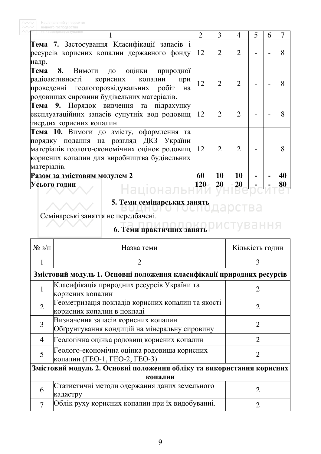| а природокористування                                                                                                                                                                                 |            | 3              | 4              | 5 | h | 7  |
|-------------------------------------------------------------------------------------------------------------------------------------------------------------------------------------------------------|------------|----------------|----------------|---|---|----|
| Тема 7. Застосування Класифікації запасів і<br>ресурсів корисних копалин державного фонду<br>надр.                                                                                                    | 12         | $\overline{2}$ | $\overline{2}$ |   |   | 8  |
| Тема 8. Вимоги до оцінки природної<br>радіоактивності корисних копалин<br>при<br>проведенні геологорозвідувальних робіт<br>Ha<br>родовищах сировини будівельних матеріалів.                           | 12         | $\overline{2}$ | $\overline{2}$ |   |   | 8  |
| Тема 9. Порядок вивчення та підрахунку<br>експлуатаційних запасів супутніх вод родовищ 12<br>твердих корисних копалин.                                                                                |            | $\overline{2}$ | $\overline{2}$ |   |   | 8  |
| Тема 10. Вимоги до змісту, оформлення та<br>порядку подання на розгляд ДКЗ України<br>матеріалів геолого-економічних оцінок родовищ 12<br>корисних копалин для виробництва будівельних<br>матеріалів. |            | $\overline{2}$ | $\overline{2}$ |   |   | 8  |
| Разом за змістовим модулем 2                                                                                                                                                                          | 60         | 10             | 10             |   |   | 40 |
| Усього годин                                                                                                                                                                                          | <b>120</b> | 20             | 20             |   |   | 80 |

# 5. Теми семінарських занять<br>**ВОДНОГО ВОДНОГО**ДА РСТВА

Семінарські заняття не передбачені.

## **6. Теми практичних занять ОИСТУВАННЯ**

| $N_2 \frac{3}{\Pi}$                                                   | Назва теми                                                                           | Кількість годин             |  |  |  |  |  |  |
|-----------------------------------------------------------------------|--------------------------------------------------------------------------------------|-----------------------------|--|--|--|--|--|--|
| 1                                                                     | $\mathcal{D}_{\cdot}$                                                                | 3                           |  |  |  |  |  |  |
|                                                                       | Змістовий модуль 1. Основні положення класифікації природних ресурсів                |                             |  |  |  |  |  |  |
|                                                                       | Класифікація природних ресурсів України та<br>корисних копалин                       | 2                           |  |  |  |  |  |  |
| $\overline{2}$                                                        | Геометризація покладів корисних копалин та якості<br>2<br>корисних копалин в покладі |                             |  |  |  |  |  |  |
| 3                                                                     | Визначення запасів корисних копалин<br>Обгрунтування кондицій на мінеральну сировину |                             |  |  |  |  |  |  |
| $\overline{4}$                                                        | Геологічна оцінка родовищ корисних копалин                                           | $\mathcal{D}_{\mathcal{A}}$ |  |  |  |  |  |  |
| 5                                                                     | Геолого-економічна оцінка родовища корисних<br>копалин (ГЕО-1, ГЕО-2, ГЕО-3)         | 2                           |  |  |  |  |  |  |
| Змістовий модуль 2. Основні положення обліку та використання корисних |                                                                                      |                             |  |  |  |  |  |  |
| копалин                                                               |                                                                                      |                             |  |  |  |  |  |  |
| 6                                                                     | Статистичні методи одержання даних земельного<br>кадастру                            | 2                           |  |  |  |  |  |  |
|                                                                       | Облік руху корисних копалин при їх видобуванні.                                      |                             |  |  |  |  |  |  |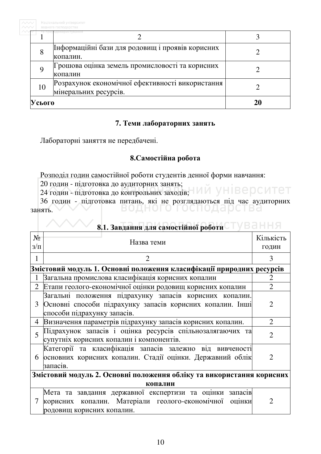|        | та природокористування                                                    |  |
|--------|---------------------------------------------------------------------------|--|
| 8      | Інформаційні бази для родовищ і проявів корисних<br>копалин.              |  |
| 9      | Грошова оцінка земель промисловості та корисних<br>копалин                |  |
| 10     | Розрахунок економічної ефективності використання<br>мінеральних ресурсів. |  |
| Усього |                                                                           |  |

### 7. Теми лабораторних занять

Лабораторні заняття не передбачені.

### 8. Самостійна робота

Розподіл годин самостійної роботи студентів денної форми навчання:

20 годин - підготовка до аудиторних занять;

24 годин - підготовка до контрольних заходів; ИЙ УНІВЕРСИТЕТ

36 годин - підготовка питань, які не розглядаються під час аудиторних<br>нять. занять.

| $N_2$<br>$3/\Pi$ | Назва теми                                                                                                                                          | Кількість<br>ГОДИН          |  |  |  |  |
|------------------|-----------------------------------------------------------------------------------------------------------------------------------------------------|-----------------------------|--|--|--|--|
| 1                |                                                                                                                                                     | 3                           |  |  |  |  |
|                  | Змістовий модуль 1. Основні положення класифікації природних ресурсів                                                                               |                             |  |  |  |  |
|                  | Загальна промислова класифікація корисних копалин                                                                                                   |                             |  |  |  |  |
| $\overline{2}$   | Етапи геолого-економічної оцінки родовищ корисних копалин                                                                                           |                             |  |  |  |  |
| 3                | Загальні положення підрахунку запасів корисних копалин.<br>Основні способи підрахунку запасів корисних копалин. Інші<br>способи підрахунку запасів. | 2                           |  |  |  |  |
| 4                | Визначення параметрів підрахунку запасів корисних копалин.                                                                                          | $\mathcal{D}_{\mathcal{L}}$ |  |  |  |  |
| 5                | Підрахунок запасів і оцінка ресурсів спільнозалягаючих та<br>супутніх корисних копалин і компонентів.                                               | $\overline{2}$              |  |  |  |  |
| 6                | Категорії та класифікація запасів залежно від вивченості<br>основних корисних копалин. Стадії оцінки. Державний облік<br>запасів.                   |                             |  |  |  |  |
|                  | Змістовий модуль 2. Основні положення обліку та використання корисних                                                                               |                             |  |  |  |  |
|                  | копалин                                                                                                                                             |                             |  |  |  |  |
|                  | Мета та завдання державної експертизи та оцінки запасів<br>корисних копалин. Матеріали геолого-економічної оцінки<br>родовищ корисних копалин.      | 2                           |  |  |  |  |

8.1. Завдання для самостійної роботи <sup>г</sup> УВаННЯ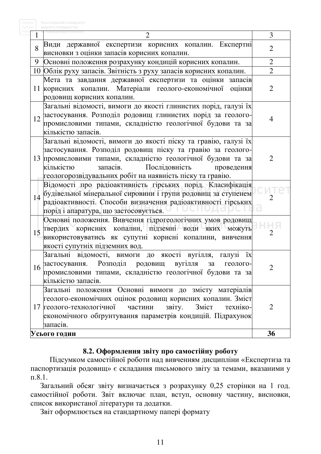| 1  |                                                                                                                      | 3              |  |  |  |  |  |  |
|----|----------------------------------------------------------------------------------------------------------------------|----------------|--|--|--|--|--|--|
|    | Види державної експертизи корисних копалин. Експертні                                                                |                |  |  |  |  |  |  |
| 8  | висновки з оцінки запасів корисних копалин.                                                                          | $\overline{2}$ |  |  |  |  |  |  |
| 9  | Основні положення розрахунку кондицій корисних копалин.                                                              | $\overline{2}$ |  |  |  |  |  |  |
|    | 10 Облік руху запасів. Звітність з руху запасів корисних копалин.                                                    | $\overline{2}$ |  |  |  |  |  |  |
|    | Мета та завдання державної експертизи та оцінки запасів                                                              |                |  |  |  |  |  |  |
|    | 11 корисних копалин. Матеріали геолого-економічної оцінки                                                            | 2              |  |  |  |  |  |  |
|    | родовищ корисних копалин.                                                                                            |                |  |  |  |  |  |  |
|    | Загальні відомості, вимоги до якості глинистих порід, галузі їх                                                      |                |  |  |  |  |  |  |
| 12 | застосування. Розподіл родовищ глинистих порід за геолого-                                                           | 4              |  |  |  |  |  |  |
|    | промисловими типами, складністю геологічної будови та за                                                             |                |  |  |  |  |  |  |
|    | кількістю запасів.                                                                                                   |                |  |  |  |  |  |  |
|    | Загальні відомості, вимоги до якості піску та гравію, галузі їх                                                      |                |  |  |  |  |  |  |
|    | застосування. Розподіл родовищ піску та гравію за геолого-                                                           |                |  |  |  |  |  |  |
|    | 13 промисловими типами, складністю геологічної будови та за                                                          | 2              |  |  |  |  |  |  |
|    | Послідовність<br>кількістю<br>запасів.<br>проведення                                                                 |                |  |  |  |  |  |  |
|    | геологорозвідувальних робіт на наявність піску та гравію.                                                            |                |  |  |  |  |  |  |
|    | Відомості про радіоактивність гірських порід. Класифікація                                                           |                |  |  |  |  |  |  |
| 14 | будівельної мінеральної сировини і групи родовищ за ступенем                                                         |                |  |  |  |  |  |  |
|    | радіоактивності. Способи визначення радіоактивності гірських                                                         |                |  |  |  |  |  |  |
|    | порід і апаратура, що застосовується.                                                                                |                |  |  |  |  |  |  |
|    | Основні положення. Вивчення гідрогеологічних умов родовищ                                                            |                |  |  |  |  |  |  |
| 15 | твердих корисних копалин, підземні води яких можуть                                                                  |                |  |  |  |  |  |  |
|    | використовуватись як супутні корисні копалини, вивчення                                                              |                |  |  |  |  |  |  |
|    | якості супутніх підземних вод.                                                                                       |                |  |  |  |  |  |  |
|    | Загальні відомості, вимоги до якості вугілля, галузі їх                                                              |                |  |  |  |  |  |  |
| 16 | застосування. Розподіл родовищ вугілля за геолого-                                                                   |                |  |  |  |  |  |  |
|    | промисловими типами, складністю геологічної будови та за                                                             |                |  |  |  |  |  |  |
|    | кількістю запасів.                                                                                                   |                |  |  |  |  |  |  |
|    | Загальні положення Основні вимоги до змісту матеріалів<br>геолого-економічних оцінок родовищ корисних копалин. Зміст |                |  |  |  |  |  |  |
|    | 17 геолого-технологічної<br>частини<br>Зміст<br>звіту.<br>техніко-                                                   | 2              |  |  |  |  |  |  |
|    | економічного обґрунтування параметрів кондицій. Підрахунок                                                           |                |  |  |  |  |  |  |
|    | запасів.                                                                                                             |                |  |  |  |  |  |  |
|    | Усього годин                                                                                                         | 36             |  |  |  |  |  |  |
|    |                                                                                                                      |                |  |  |  |  |  |  |

### 8.2. Оформлення звіту про самостійну роботу

Підсумком самостійної роботи над вивченням дисципліни «Експертиза та паспортизація родовищ» є складання письмового звіту за темами, вказаними у  $\pi.8.1.$ 

Загальний обсяг звіту визначається з розрахунку 0,25 сторінки на 1 год. самостійної роботи. Звіт включає план, вступ, основну частину, висновки, список використаної літератури та додатки.

Звіт оформлюється на стандартному папері формату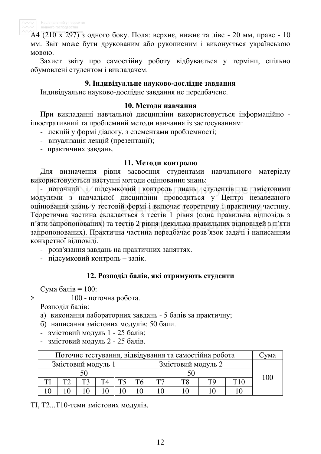

А4 (210 х 297) з одного боку. Поля: верхнє, нижнє та ліве - 20 мм, праве - 10 мм. Звіт може бути друкованим або рукописним і виконується українською MOBOIO.

Захист звіту про самостійну роботу відбувається у терміни, спільно обумовлені студентом і викладачем.

### 9. **Індивідуальне науково-дослідне завдання**

Індивідуальне науково-дослідне завдання не передбачене.

### **10. Методи навчання**

При викладанні навчальної дисципліни використовується інформаційно ілюстративний та проблемний методи навчання із застосуванням:

- лекцій у формі діалогу, з елементами проблемності;
- візуалізація лекцій (презентації);
- практичних завдань.

### 11. Методи контролю

Для визначення рівня засвоєння студентами навчального матеріалу використовуються наступні методи оцінювання знань:

- поточний і підсумковий контроль знань студентів за змістовими модулями з навчальної дисципліни проводиться у Центрі незалежного оцінювання знань у тестовій формі і включає теоретичну і практичну частину. Теоретична частина складається з тестів 1 рівня (одна правильна відповідь з п'яти запропонованих) та тестів 2 рівня (декілька правильних відповідей з п'яти запропонованих). Практична частина передбачає розв'язок задачі і написанням конкретної відповіді.

- розв'язання завдань на практичних заняттях.

- підсумковий контроль – залік.

### 12. Розподіл балів, які отримують студенти

Сума балів  $= 100$ :

 $> 100$  - поточна робота.

Розподіл балів:

- а) виконання лабораторних завдань 5 балів за практичну;
- б) написання змістових модулів: 50 бали.
- змістовий модуль 1 25 балів;
- змістовий модуль 2 25 балів.

| Поточне тестування, відвідування та самостійна робота |                                          |  |    |  |  |  | √ма |  |  |  |  |     |
|-------------------------------------------------------|------------------------------------------|--|----|--|--|--|-----|--|--|--|--|-----|
|                                                       | Змістовий модуль 1<br>Змістовий модуль 2 |  |    |  |  |  |     |  |  |  |  |     |
|                                                       |                                          |  |    |  |  |  |     |  |  |  |  | 100 |
|                                                       | ⊤்                                       |  | T4 |  |  |  |     |  |  |  |  |     |
|                                                       |                                          |  |    |  |  |  |     |  |  |  |  |     |

ТІ, Т2...Т10-теми змістових модулів.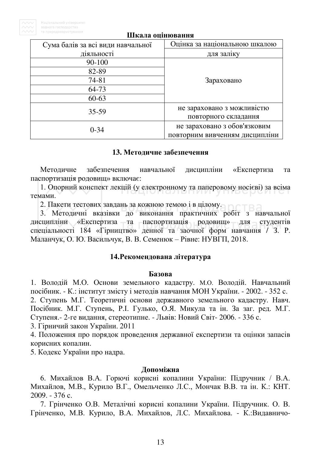| Сума балів за всі види навчальної | Оцінка за національною шкалою  |  |  |  |
|-----------------------------------|--------------------------------|--|--|--|
| діяльності                        | для заліку                     |  |  |  |
| $90 - 100$                        |                                |  |  |  |
| 82-89                             |                                |  |  |  |
| 74-81                             | Зараховано                     |  |  |  |
| 64-73                             |                                |  |  |  |
| $60 - 63$                         |                                |  |  |  |
| $35 - 59$                         | не зараховано з можливістю     |  |  |  |
|                                   | повторного складання           |  |  |  |
| $0 - 34$                          | не зараховано з обов'язковим   |  |  |  |
|                                   | повторним вивченням дисципліни |  |  |  |

#### Шкала оцінювання

### 13. Методичне забезпечення

Методичне забезпечення навчальної дисципліни «Експертиза та паспортизація родовищ» включає:

1. Опорний конспект лекцій (у електронному та паперовому носієві) за всіма темами

2. Пакети тестових завдань за кожною темою і в цілому.

3. Методичні вказівки до виконання практичних робіт з навчальної дисципліни «Експертиза та паспортизація родовищ» для студентів спеціальності 184 «Гірництво» денної та заочної форм навчання / З. Р. Маланчук, О. Ю. Васильчук, В. В. Семенюк – Рівне: НУВГП, 2018.

### 14. Рекомендована література

### **Базова**

1. Володій М.О. Основи земельного кадастру. М.О. Володій. Навчальний посібник. - К.: інститут змісту і методів навчання МОН України. - 2002. - 352 с. 2. Ступень М.Г. Теоретичні основи державного земельного кадастру. Навч. Посібник. М.Г. Ступень, Р.І. Гулько, О.Я. Микула та ін. За заг. ред. М.Г. Ступеня.- 2-ге видання, стереотипне. - Львів: Новий Світ- 2006. - 336 с.

3. Гірничий закон України. 2011

4. Положення про порядок проведення державної експертизи та оцінки запасів корисних копалин.

5. Кодекс України про надра.

### **Допоміжна**

6. Михайлов В.А. Горючі корисні копалини України: Підручник / В.А. Михайлов, М.В., Курило В.Г., Омельченко Л.С., Мончак В.В. та ін. К.: КНТ.  $2009. - 376$  c.

7. Грінченко О.В. Металічні корисні копалини України. Підручник. О. В. Грінченко, М.В. Курило, В.А. Михайлов, Л.С. Михайлова. - К.:Видавничо-